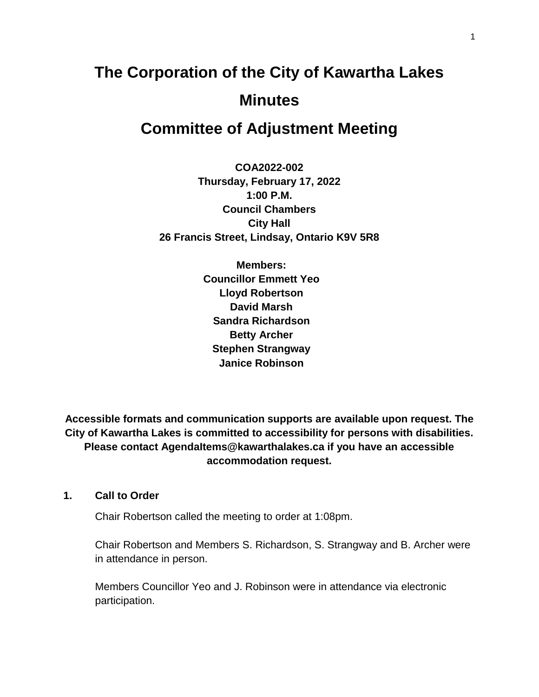# **The Corporation of the City of Kawartha Lakes Minutes**

## **Committee of Adjustment Meeting**

**COA2022-002 Thursday, February 17, 2022 1:00 P.M. Council Chambers City Hall 26 Francis Street, Lindsay, Ontario K9V 5R8**

> **Members: Councillor Emmett Yeo Lloyd Robertson David Marsh Sandra Richardson Betty Archer Stephen Strangway Janice Robinson**

**Accessible formats and communication supports are available upon request. The City of Kawartha Lakes is committed to accessibility for persons with disabilities. Please contact AgendaItems@kawarthalakes.ca if you have an accessible accommodation request.** 

#### **1. Call to Order**

Chair Robertson called the meeting to order at 1:08pm.

Chair Robertson and Members S. Richardson, S. Strangway and B. Archer were in attendance in person.

Members Councillor Yeo and J. Robinson were in attendance via electronic participation.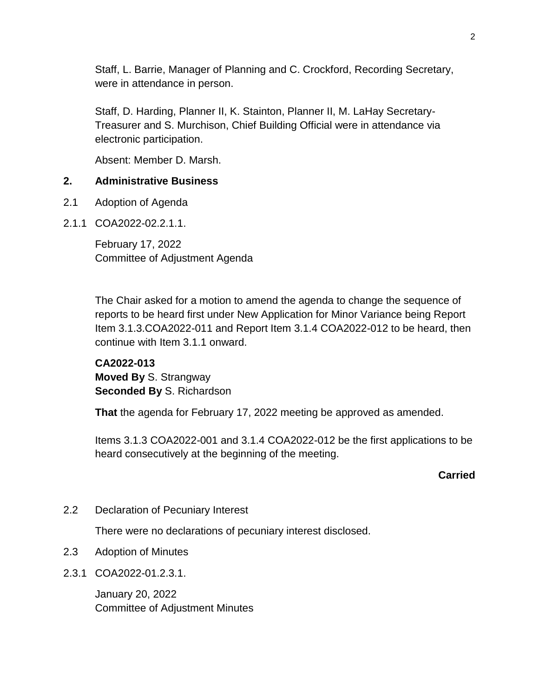Staff, L. Barrie, Manager of Planning and C. Crockford, Recording Secretary, were in attendance in person.

Staff, D. Harding, Planner II, K. Stainton, Planner II, M. LaHay Secretary-Treasurer and S. Murchison, Chief Building Official were in attendance via electronic participation.

Absent: Member D. Marsh.

## **2. Administrative Business**

- 2.1 Adoption of Agenda
- 2.1.1 COA2022-02.2.1.1.

February 17, 2022 Committee of Adjustment Agenda

The Chair asked for a motion to amend the agenda to change the sequence of reports to be heard first under New Application for Minor Variance being Report Item 3.1.3.COA2022-011 and Report Item 3.1.4 COA2022-012 to be heard, then continue with Item 3.1.1 onward.

**CA2022-013 Moved By** S. Strangway **Seconded By** S. Richardson

**That** the agenda for February 17, 2022 meeting be approved as amended.

Items 3.1.3 COA2022-001 and 3.1.4 COA2022-012 be the first applications to be heard consecutively at the beginning of the meeting.

**Carried**

2.2 Declaration of Pecuniary Interest

There were no declarations of pecuniary interest disclosed.

- 2.3 Adoption of Minutes
- 2.3.1 COA2022-01.2.3.1.

January 20, 2022 Committee of Adjustment Minutes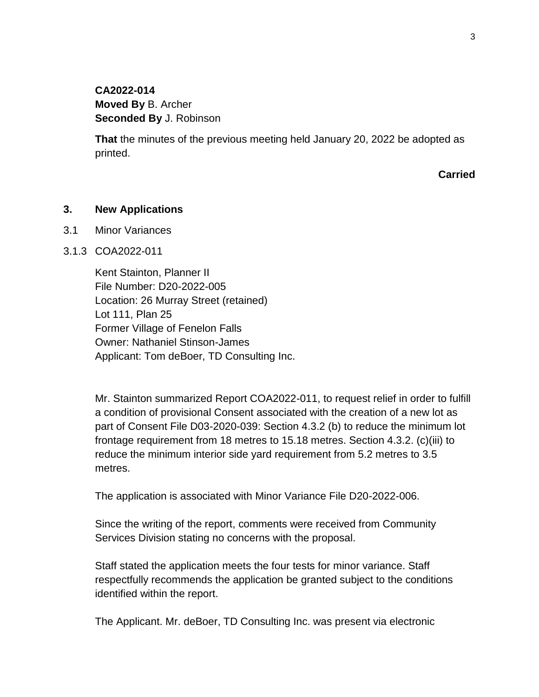## **CA2022-014 Moved By** B. Archer **Seconded By** J. Robinson

**That** the minutes of the previous meeting held January 20, 2022 be adopted as printed.

**Carried**

#### **3. New Applications**

3.1 Minor Variances

#### 3.1.3 COA2022-011

Kent Stainton, Planner II File Number: D20-2022-005 Location: 26 Murray Street (retained) Lot 111, Plan 25 Former Village of Fenelon Falls Owner: Nathaniel Stinson-James Applicant: Tom deBoer, TD Consulting Inc.

Mr. Stainton summarized Report COA2022-011, to request relief in order to fulfill a condition of provisional Consent associated with the creation of a new lot as part of Consent File D03-2020-039: Section 4.3.2 (b) to reduce the minimum lot frontage requirement from 18 metres to 15.18 metres. Section 4.3.2. (c)(iii) to reduce the minimum interior side yard requirement from 5.2 metres to 3.5 metres.

The application is associated with Minor Variance File D20-2022-006.

Since the writing of the report, comments were received from Community Services Division stating no concerns with the proposal.

Staff stated the application meets the four tests for minor variance. Staff respectfully recommends the application be granted subject to the conditions identified within the report.

The Applicant. Mr. deBoer, TD Consulting Inc. was present via electronic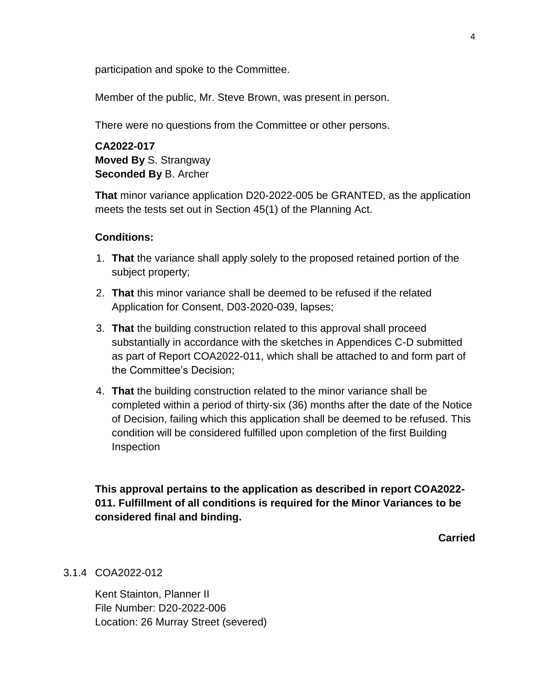participation and spoke to the Committee.

Member of the public, Mr. Steve Brown, was present in person.

There were no questions from the Committee or other persons.

**CA2022-017 Moved By** S. Strangway **Seconded By** B. Archer

**That** minor variance application D20-2022-005 be GRANTED, as the application meets the tests set out in Section 45(1) of the Planning Act.

#### **Conditions:**

- 1. **That** the variance shall apply solely to the proposed retained portion of the subject property;
- 2. **That** this minor variance shall be deemed to be refused if the related Application for Consent, D03-2020-039, lapses;
- 3. **That** the building construction related to this approval shall proceed substantially in accordance with the sketches in Appendices C-D submitted as part of Report COA2022-011, which shall be attached to and form part of the Committee's Decision;
- 4. **That** the building construction related to the minor variance shall be completed within a period of thirty-six (36) months after the date of the Notice of Decision, failing which this application shall be deemed to be refused. This condition will be considered fulfilled upon completion of the first Building Inspection

**This approval pertains to the application as described in report COA2022- 011. Fulfillment of all conditions is required for the Minor Variances to be considered final and binding.**

**Carried**

#### 3.1.4 COA2022-012

Kent Stainton, Planner II File Number: D20-2022-006 Location: 26 Murray Street (severed)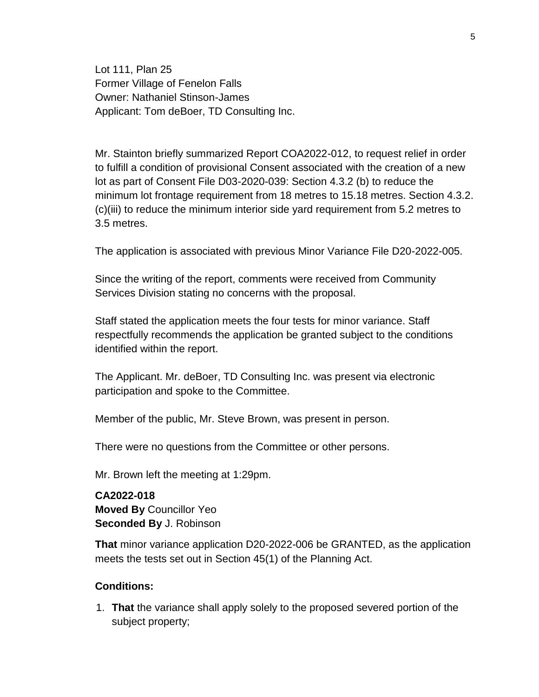Lot 111, Plan 25 Former Village of Fenelon Falls Owner: Nathaniel Stinson-James Applicant: Tom deBoer, TD Consulting Inc.

Mr. Stainton briefly summarized Report COA2022-012, to request relief in order to fulfill a condition of provisional Consent associated with the creation of a new lot as part of Consent File D03-2020-039: Section 4.3.2 (b) to reduce the minimum lot frontage requirement from 18 metres to 15.18 metres. Section 4.3.2. (c)(iii) to reduce the minimum interior side yard requirement from 5.2 metres to 3.5 metres.

The application is associated with previous Minor Variance File D20-2022-005.

Since the writing of the report, comments were received from Community Services Division stating no concerns with the proposal.

Staff stated the application meets the four tests for minor variance. Staff respectfully recommends the application be granted subject to the conditions identified within the report.

The Applicant. Mr. deBoer, TD Consulting Inc. was present via electronic participation and spoke to the Committee.

Member of the public, Mr. Steve Brown, was present in person.

There were no questions from the Committee or other persons.

Mr. Brown left the meeting at 1:29pm.

**CA2022-018 Moved By** Councillor Yeo **Seconded By** J. Robinson

**That** minor variance application D20-2022-006 be GRANTED, as the application meets the tests set out in Section 45(1) of the Planning Act.

#### **Conditions:**

1. **That** the variance shall apply solely to the proposed severed portion of the subject property;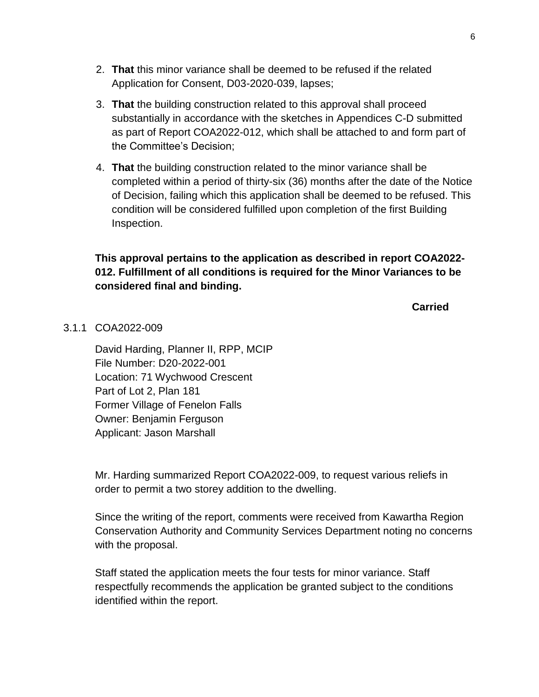- 2. **That** this minor variance shall be deemed to be refused if the related Application for Consent, D03-2020-039, lapses;
- 3. **That** the building construction related to this approval shall proceed substantially in accordance with the sketches in Appendices C-D submitted as part of Report COA2022-012, which shall be attached to and form part of the Committee's Decision;
- 4. **That** the building construction related to the minor variance shall be completed within a period of thirty-six (36) months after the date of the Notice of Decision, failing which this application shall be deemed to be refused. This condition will be considered fulfilled upon completion of the first Building Inspection.

## **This approval pertains to the application as described in report COA2022- 012. Fulfillment of all conditions is required for the Minor Variances to be considered final and binding.**

**Carried**

#### 3.1.1 COA2022-009

David Harding, Planner II, RPP, MCIP File Number: D20-2022-001 Location: 71 Wychwood Crescent Part of Lot 2, Plan 181 Former Village of Fenelon Falls Owner: Benjamin Ferguson Applicant: Jason Marshall

Mr. Harding summarized Report COA2022-009, to request various reliefs in order to permit a two storey addition to the dwelling.

Since the writing of the report, comments were received from Kawartha Region Conservation Authority and Community Services Department noting no concerns with the proposal.

Staff stated the application meets the four tests for minor variance. Staff respectfully recommends the application be granted subject to the conditions identified within the report.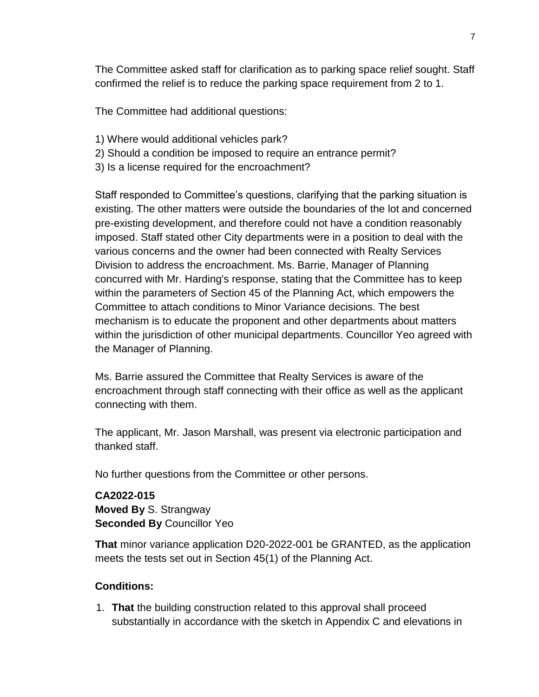The Committee asked staff for clarification as to parking space relief sought. Staff confirmed the relief is to reduce the parking space requirement from 2 to 1.

The Committee had additional questions:

- 1) Where would additional vehicles park?
- 2) Should a condition be imposed to require an entrance permit?
- 3) Is a license required for the encroachment?

Staff responded to Committee's questions, clarifying that the parking situation is existing. The other matters were outside the boundaries of the lot and concerned pre-existing development, and therefore could not have a condition reasonably imposed. Staff stated other City departments were in a position to deal with the various concerns and the owner had been connected with Realty Services Division to address the encroachment. Ms. Barrie, Manager of Planning concurred with Mr. Harding's response, stating that the Committee has to keep within the parameters of Section 45 of the Planning Act, which empowers the Committee to attach conditions to Minor Variance decisions. The best mechanism is to educate the proponent and other departments about matters within the jurisdiction of other municipal departments. Councillor Yeo agreed with the Manager of Planning.

Ms. Barrie assured the Committee that Realty Services is aware of the encroachment through staff connecting with their office as well as the applicant connecting with them.

The applicant, Mr. Jason Marshall, was present via electronic participation and thanked staff.

No further questions from the Committee or other persons.

**CA2022-015 Moved By** S. Strangway **Seconded By** Councillor Yeo

**That** minor variance application D20-2022-001 be GRANTED, as the application meets the tests set out in Section 45(1) of the Planning Act.

#### **Conditions:**

1. **That** the building construction related to this approval shall proceed substantially in accordance with the sketch in Appendix C and elevations in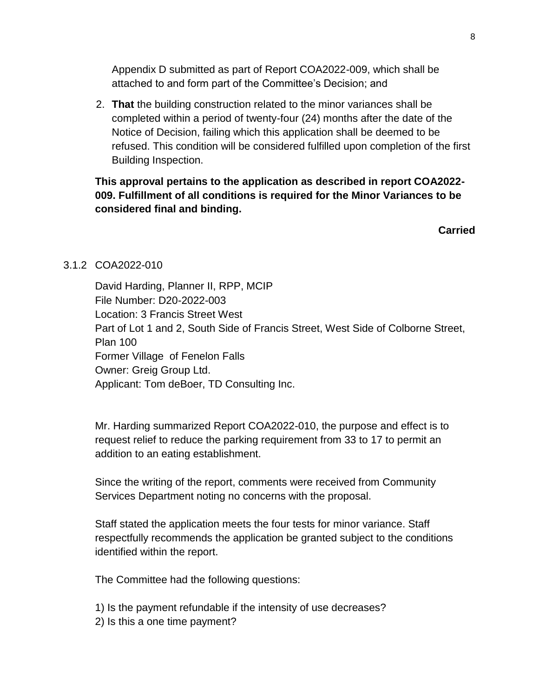Appendix D submitted as part of Report COA2022-009, which shall be attached to and form part of the Committee's Decision; and

2. **That** the building construction related to the minor variances shall be completed within a period of twenty-four (24) months after the date of the Notice of Decision, failing which this application shall be deemed to be refused. This condition will be considered fulfilled upon completion of the first Building Inspection.

## **This approval pertains to the application as described in report COA2022- 009. Fulfillment of all conditions is required for the Minor Variances to be considered final and binding.**

**Carried**

## 3.1.2 COA2022-010

David Harding, Planner II, RPP, MCIP File Number: D20-2022-003 Location: 3 Francis Street West Part of Lot 1 and 2, South Side of Francis Street, West Side of Colborne Street, Plan 100 Former Village of Fenelon Falls Owner: Greig Group Ltd. Applicant: Tom deBoer, TD Consulting Inc.

Mr. Harding summarized Report COA2022-010, the purpose and effect is to request relief to reduce the parking requirement from 33 to 17 to permit an addition to an eating establishment.

Since the writing of the report, comments were received from Community Services Department noting no concerns with the proposal.

Staff stated the application meets the four tests for minor variance. Staff respectfully recommends the application be granted subject to the conditions identified within the report.

The Committee had the following questions:

1) Is the payment refundable if the intensity of use decreases?

2) Is this a one time payment?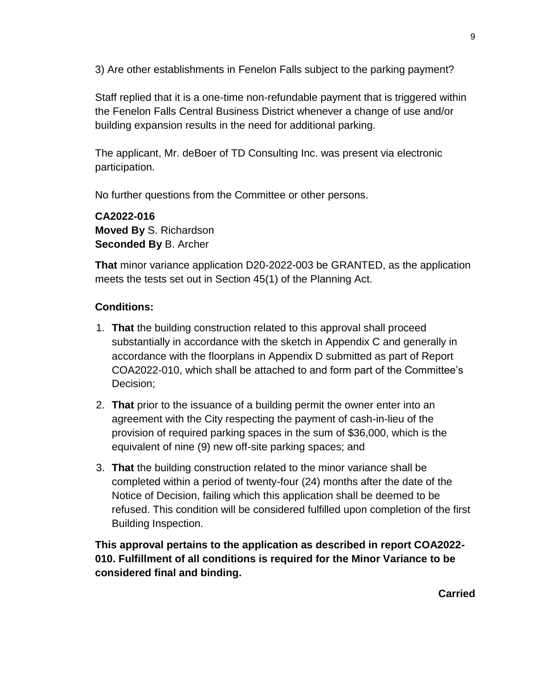3) Are other establishments in Fenelon Falls subject to the parking payment?

Staff replied that it is a one-time non-refundable payment that is triggered within the Fenelon Falls Central Business District whenever a change of use and/or building expansion results in the need for additional parking.

The applicant, Mr. deBoer of TD Consulting Inc. was present via electronic participation.

No further questions from the Committee or other persons.

**CA2022-016 Moved By** S. Richardson **Seconded By** B. Archer

**That** minor variance application D20-2022-003 be GRANTED, as the application meets the tests set out in Section 45(1) of the Planning Act.

## **Conditions:**

- 1. **That** the building construction related to this approval shall proceed substantially in accordance with the sketch in Appendix C and generally in accordance with the floorplans in Appendix D submitted as part of Report COA2022-010, which shall be attached to and form part of the Committee's Decision;
- 2. **That** prior to the issuance of a building permit the owner enter into an agreement with the City respecting the payment of cash-in-lieu of the provision of required parking spaces in the sum of \$36,000, which is the equivalent of nine (9) new off-site parking spaces; and
- 3. **That** the building construction related to the minor variance shall be completed within a period of twenty-four (24) months after the date of the Notice of Decision, failing which this application shall be deemed to be refused. This condition will be considered fulfilled upon completion of the first Building Inspection.

**This approval pertains to the application as described in report COA2022- 010. Fulfillment of all conditions is required for the Minor Variance to be considered final and binding.**

**Carried**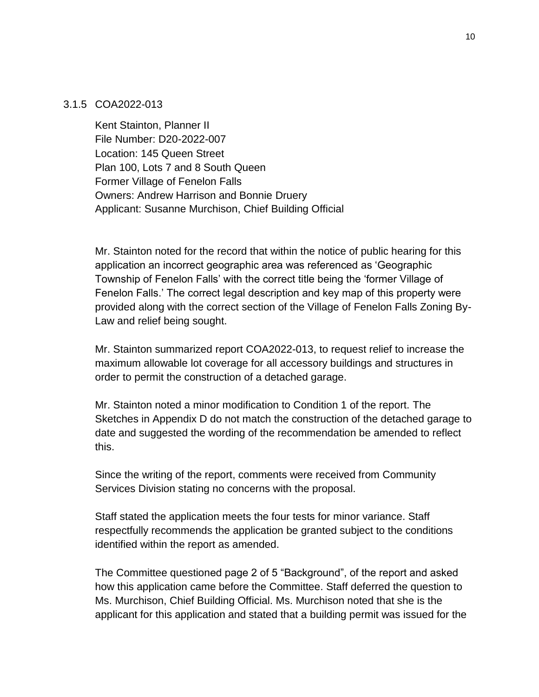#### 3.1.5 COA2022-013

Kent Stainton, Planner II File Number: D20-2022-007 Location: 145 Queen Street Plan 100, Lots 7 and 8 South Queen Former Village of Fenelon Falls Owners: Andrew Harrison and Bonnie Druery Applicant: Susanne Murchison, Chief Building Official

Mr. Stainton noted for the record that within the notice of public hearing for this application an incorrect geographic area was referenced as 'Geographic Township of Fenelon Falls' with the correct title being the 'former Village of Fenelon Falls.' The correct legal description and key map of this property were provided along with the correct section of the Village of Fenelon Falls Zoning By-Law and relief being sought.

Mr. Stainton summarized report COA2022-013, to request relief to increase the maximum allowable lot coverage for all accessory buildings and structures in order to permit the construction of a detached garage.

Mr. Stainton noted a minor modification to Condition 1 of the report. The Sketches in Appendix D do not match the construction of the detached garage to date and suggested the wording of the recommendation be amended to reflect this.

Since the writing of the report, comments were received from Community Services Division stating no concerns with the proposal.

Staff stated the application meets the four tests for minor variance. Staff respectfully recommends the application be granted subject to the conditions identified within the report as amended.

The Committee questioned page 2 of 5 "Background", of the report and asked how this application came before the Committee. Staff deferred the question to Ms. Murchison, Chief Building Official. Ms. Murchison noted that she is the applicant for this application and stated that a building permit was issued for the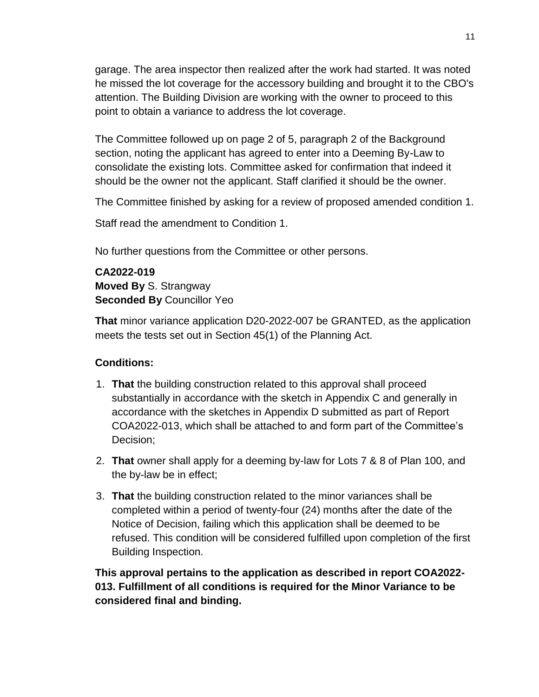garage. The area inspector then realized after the work had started. It was noted he missed the lot coverage for the accessory building and brought it to the CBO's attention. The Building Division are working with the owner to proceed to this point to obtain a variance to address the lot coverage.

The Committee followed up on page 2 of 5, paragraph 2 of the Background section, noting the applicant has agreed to enter into a Deeming By-Law to consolidate the existing lots. Committee asked for confirmation that indeed it should be the owner not the applicant. Staff clarified it should be the owner.

The Committee finished by asking for a review of proposed amended condition 1.

Staff read the amendment to Condition 1.

No further questions from the Committee or other persons.

**CA2022-019 Moved By** S. Strangway **Seconded By** Councillor Yeo

**That** minor variance application D20-2022-007 be GRANTED, as the application meets the tests set out in Section 45(1) of the Planning Act.

## **Conditions:**

- 1. **That** the building construction related to this approval shall proceed substantially in accordance with the sketch in Appendix C and generally in accordance with the sketches in Appendix D submitted as part of Report COA2022-013, which shall be attached to and form part of the Committee's Decision;
- 2. **That** owner shall apply for a deeming by-law for Lots 7 & 8 of Plan 100, and the by-law be in effect;
- 3. **That** the building construction related to the minor variances shall be completed within a period of twenty-four (24) months after the date of the Notice of Decision, failing which this application shall be deemed to be refused. This condition will be considered fulfilled upon completion of the first Building Inspection.

**This approval pertains to the application as described in report COA2022- 013. Fulfillment of all conditions is required for the Minor Variance to be considered final and binding.**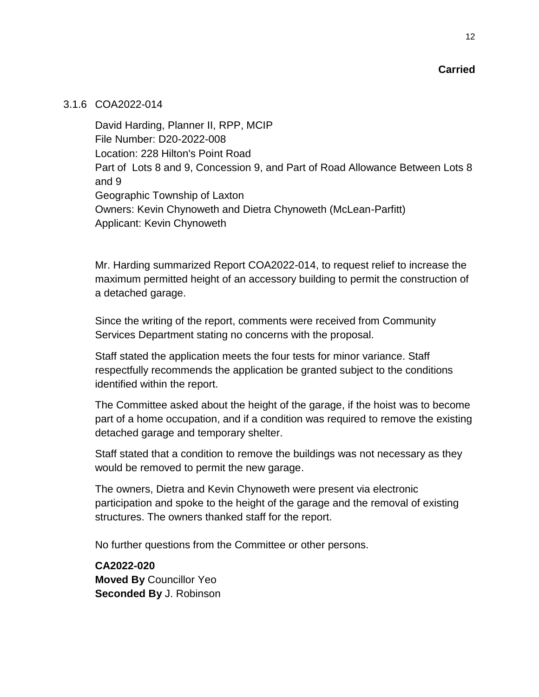#### 3.1.6 COA2022-014

David Harding, Planner II, RPP, MCIP File Number: D20-2022-008 Location: 228 Hilton's Point Road Part of Lots 8 and 9, Concession 9, and Part of Road Allowance Between Lots 8 and 9 Geographic Township of Laxton Owners: Kevin Chynoweth and Dietra Chynoweth (McLean-Parfitt) Applicant: Kevin Chynoweth

Mr. Harding summarized Report COA2022-014, to request relief to increase the maximum permitted height of an accessory building to permit the construction of a detached garage.

Since the writing of the report, comments were received from Community Services Department stating no concerns with the proposal.

Staff stated the application meets the four tests for minor variance. Staff respectfully recommends the application be granted subject to the conditions identified within the report.

The Committee asked about the height of the garage, if the hoist was to become part of a home occupation, and if a condition was required to remove the existing detached garage and temporary shelter.

Staff stated that a condition to remove the buildings was not necessary as they would be removed to permit the new garage.

The owners, Dietra and Kevin Chynoweth were present via electronic participation and spoke to the height of the garage and the removal of existing structures. The owners thanked staff for the report.

No further questions from the Committee or other persons.

**CA2022-020 Moved By** Councillor Yeo **Seconded By** J. Robinson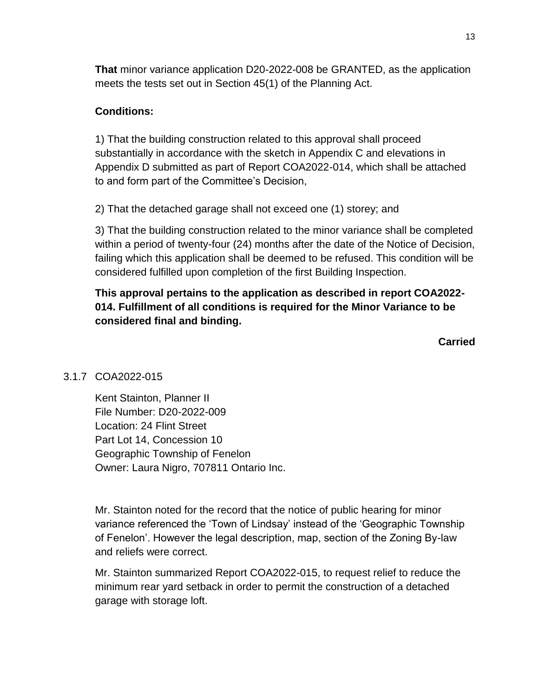**That** minor variance application D20-2022-008 be GRANTED, as the application meets the tests set out in Section 45(1) of the Planning Act.

#### **Conditions:**

1) That the building construction related to this approval shall proceed substantially in accordance with the sketch in Appendix C and elevations in Appendix D submitted as part of Report COA2022-014, which shall be attached to and form part of the Committee's Decision,

2) That the detached garage shall not exceed one (1) storey; and

3) That the building construction related to the minor variance shall be completed within a period of twenty-four (24) months after the date of the Notice of Decision, failing which this application shall be deemed to be refused. This condition will be considered fulfilled upon completion of the first Building Inspection.

## **This approval pertains to the application as described in report COA2022- 014. Fulfillment of all conditions is required for the Minor Variance to be considered final and binding.**

**Carried**

## 3.1.7 COA2022-015

Kent Stainton, Planner II File Number: D20-2022-009 Location: 24 Flint Street Part Lot 14, Concession 10 Geographic Township of Fenelon Owner: Laura Nigro, 707811 Ontario Inc.

Mr. Stainton noted for the record that the notice of public hearing for minor variance referenced the 'Town of Lindsay' instead of the 'Geographic Township of Fenelon'. However the legal description, map, section of the Zoning By-law and reliefs were correct.

Mr. Stainton summarized Report COA2022-015, to request relief to reduce the minimum rear yard setback in order to permit the construction of a detached garage with storage loft.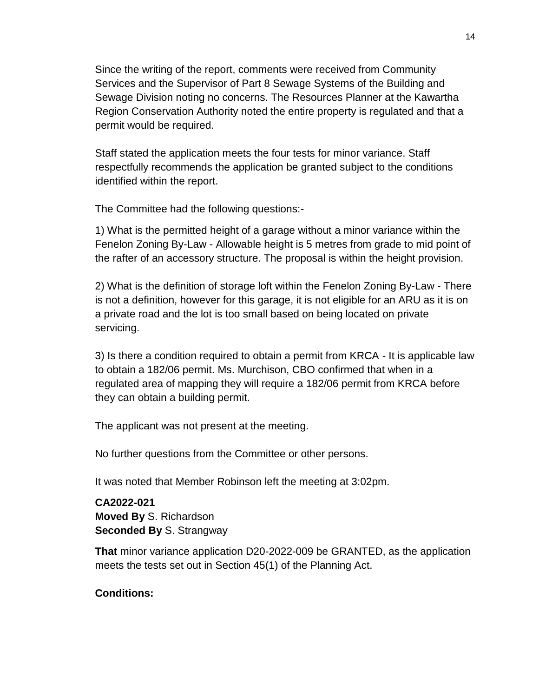Since the writing of the report, comments were received from Community Services and the Supervisor of Part 8 Sewage Systems of the Building and Sewage Division noting no concerns. The Resources Planner at the Kawartha Region Conservation Authority noted the entire property is regulated and that a permit would be required.

Staff stated the application meets the four tests for minor variance. Staff respectfully recommends the application be granted subject to the conditions identified within the report.

The Committee had the following questions:-

1) What is the permitted height of a garage without a minor variance within the Fenelon Zoning By-Law - Allowable height is 5 metres from grade to mid point of the rafter of an accessory structure. The proposal is within the height provision.

2) What is the definition of storage loft within the Fenelon Zoning By-Law - There is not a definition, however for this garage, it is not eligible for an ARU as it is on a private road and the lot is too small based on being located on private servicing.

3) Is there a condition required to obtain a permit from KRCA - It is applicable law to obtain a 182/06 permit. Ms. Murchison, CBO confirmed that when in a regulated area of mapping they will require a 182/06 permit from KRCA before they can obtain a building permit.

The applicant was not present at the meeting.

No further questions from the Committee or other persons.

It was noted that Member Robinson left the meeting at 3:02pm.

**CA2022-021 Moved By** S. Richardson **Seconded By** S. Strangway

**That** minor variance application D20-2022-009 be GRANTED, as the application meets the tests set out in Section 45(1) of the Planning Act.

## **Conditions:**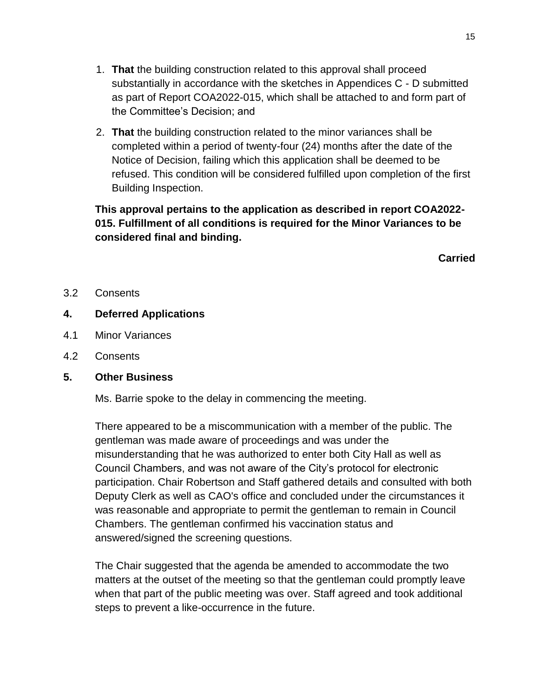- 1. **That** the building construction related to this approval shall proceed substantially in accordance with the sketches in Appendices C - D submitted as part of Report COA2022-015, which shall be attached to and form part of the Committee's Decision; and
- 2. **That** the building construction related to the minor variances shall be completed within a period of twenty-four (24) months after the date of the Notice of Decision, failing which this application shall be deemed to be refused. This condition will be considered fulfilled upon completion of the first Building Inspection.

## **This approval pertains to the application as described in report COA2022- 015. Fulfillment of all conditions is required for the Minor Variances to be considered final and binding.**

**Carried**

3.2 Consents

## **4. Deferred Applications**

- 4.1 Minor Variances
- 4.2 Consents

#### **5. Other Business**

Ms. Barrie spoke to the delay in commencing the meeting.

There appeared to be a miscommunication with a member of the public. The gentleman was made aware of proceedings and was under the misunderstanding that he was authorized to enter both City Hall as well as Council Chambers, and was not aware of the City's protocol for electronic participation. Chair Robertson and Staff gathered details and consulted with both Deputy Clerk as well as CAO's office and concluded under the circumstances it was reasonable and appropriate to permit the gentleman to remain in Council Chambers. The gentleman confirmed his vaccination status and answered/signed the screening questions.

The Chair suggested that the agenda be amended to accommodate the two matters at the outset of the meeting so that the gentleman could promptly leave when that part of the public meeting was over. Staff agreed and took additional steps to prevent a like-occurrence in the future.